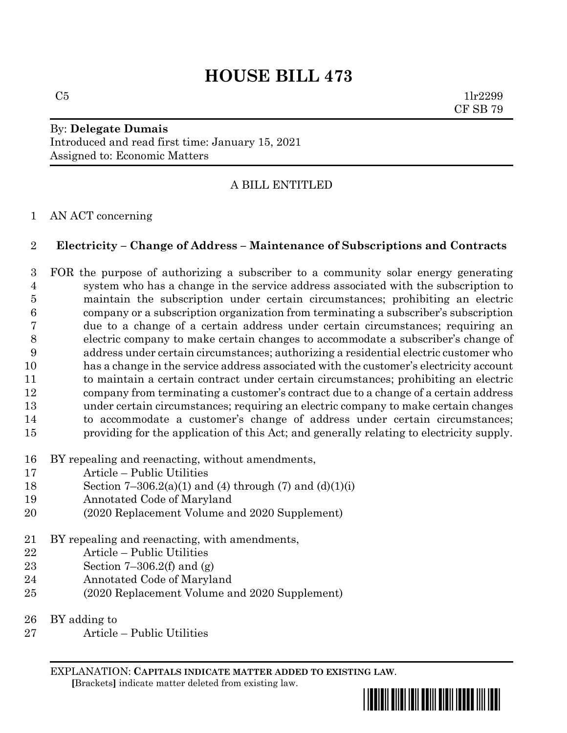# **HOUSE BILL 473**

 $C5$  1lr2299 CF SB 79

# By: **Delegate Dumais** Introduced and read first time: January 15, 2021 Assigned to: Economic Matters

# A BILL ENTITLED

#### AN ACT concerning

#### **Electricity – Change of Address – Maintenance of Subscriptions and Contracts**

 FOR the purpose of authorizing a subscriber to a community solar energy generating system who has a change in the service address associated with the subscription to maintain the subscription under certain circumstances; prohibiting an electric company or a subscription organization from terminating a subscriber's subscription due to a change of a certain address under certain circumstances; requiring an electric company to make certain changes to accommodate a subscriber's change of address under certain circumstances; authorizing a residential electric customer who has a change in the service address associated with the customer's electricity account to maintain a certain contract under certain circumstances; prohibiting an electric company from terminating a customer's contract due to a change of a certain address under certain circumstances; requiring an electric company to make certain changes to accommodate a customer's change of address under certain circumstances; providing for the application of this Act; and generally relating to electricity supply.

- BY repealing and reenacting, without amendments,
- Article Public Utilities
- 18 Section 7-306.2(a)(1) and (4) through (7) and (d)(1)(i)
- Annotated Code of Maryland
- (2020 Replacement Volume and 2020 Supplement)
- BY repealing and reenacting, with amendments,
- Article Public Utilities
- Section 7–306.2(f) and (g)
- Annotated Code of Maryland
- (2020 Replacement Volume and 2020 Supplement)
- BY adding to
- Article Public Utilities

EXPLANATION: **CAPITALS INDICATE MATTER ADDED TO EXISTING LAW**.

 **[**Brackets**]** indicate matter deleted from existing law.

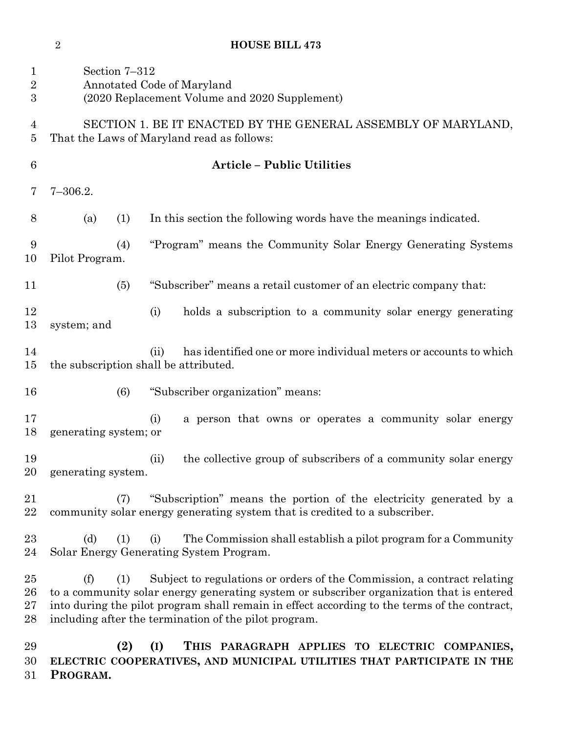### **HOUSE BILL 473**

| $\mathbf{1}$<br>$\overline{2}$<br>$\boldsymbol{3}$ | Section 7-312<br>Annotated Code of Maryland<br>(2020 Replacement Volume and 2020 Supplement)                                                                                                                                                                                                                                               |                                                                                                                                                  |
|----------------------------------------------------|--------------------------------------------------------------------------------------------------------------------------------------------------------------------------------------------------------------------------------------------------------------------------------------------------------------------------------------------|--------------------------------------------------------------------------------------------------------------------------------------------------|
| 4<br>5                                             | SECTION 1. BE IT ENACTED BY THE GENERAL ASSEMBLY OF MARYLAND,<br>That the Laws of Maryland read as follows:                                                                                                                                                                                                                                |                                                                                                                                                  |
| $\boldsymbol{6}$                                   |                                                                                                                                                                                                                                                                                                                                            | <b>Article - Public Utilities</b>                                                                                                                |
| 7                                                  | $7 - 306.2.$                                                                                                                                                                                                                                                                                                                               |                                                                                                                                                  |
| 8                                                  | (a)<br>(1)                                                                                                                                                                                                                                                                                                                                 | In this section the following words have the meanings indicated.                                                                                 |
| 9<br>10                                            | (4)<br>Pilot Program.                                                                                                                                                                                                                                                                                                                      | "Program" means the Community Solar Energy Generating Systems                                                                                    |
| 11                                                 | (5)                                                                                                                                                                                                                                                                                                                                        | "Subscriber" means a retail customer of an electric company that:                                                                                |
| 12<br>13                                           | system; and                                                                                                                                                                                                                                                                                                                                | (i)<br>holds a subscription to a community solar energy generating                                                                               |
| 14<br>15                                           |                                                                                                                                                                                                                                                                                                                                            | has identified one or more individual meters or accounts to which<br>(ii)<br>the subscription shall be attributed.                               |
| 16                                                 | (6)                                                                                                                                                                                                                                                                                                                                        | "Subscriber organization" means:                                                                                                                 |
| 17<br>18                                           | generating system; or                                                                                                                                                                                                                                                                                                                      | (i)<br>a person that owns or operates a community solar energy                                                                                   |
| 19<br>20                                           | generating system.                                                                                                                                                                                                                                                                                                                         | the collective group of subscribers of a community solar energy<br>(ii)                                                                          |
| 21<br>22                                           | (7)                                                                                                                                                                                                                                                                                                                                        | "Subscription" means the portion of the electricity generated by a<br>community solar energy generating system that is credited to a subscriber. |
| $23\,$<br>24                                       | (d)<br>(1)                                                                                                                                                                                                                                                                                                                                 | The Commission shall establish a pilot program for a Community<br>(i)<br>Solar Energy Generating System Program.                                 |
| $25\,$<br>26<br>$27\,$<br>28                       | Subject to regulations or orders of the Commission, a contract relating<br>(f)<br>(1)<br>to a community solar energy generating system or subscriber organization that is entered<br>into during the pilot program shall remain in effect according to the terms of the contract,<br>including after the termination of the pilot program. |                                                                                                                                                  |
| 29                                                 | (9)                                                                                                                                                                                                                                                                                                                                        | THIS PARAGRAPH APPLIES TO ELECTRIC COMPANIES.<br>(1)                                                                                             |

 **(2) (I) THIS PARAGRAPH APPLIES TO ELECTRIC COMPANIES, ELECTRIC COOPERATIVES, AND MUNICIPAL UTILITIES THAT PARTICIPATE IN THE PROGRAM.**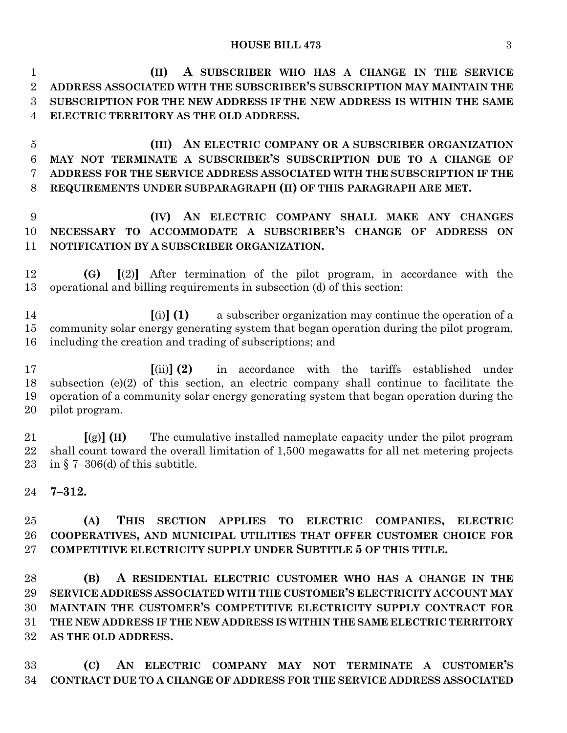**(II) A SUBSCRIBER WHO HAS A CHANGE IN THE SERVICE ADDRESS ASSOCIATED WITH THE SUBSCRIBER'S SUBSCRIPTION MAY MAINTAIN THE SUBSCRIPTION FOR THE NEW ADDRESS IF THE NEW ADDRESS IS WITHIN THE SAME ELECTRIC TERRITORY AS THE OLD ADDRESS.**

 **(III) AN ELECTRIC COMPANY OR A SUBSCRIBER ORGANIZATION MAY NOT TERMINATE A SUBSCRIBER'S SUBSCRIPTION DUE TO A CHANGE OF ADDRESS FOR THE SERVICE ADDRESS ASSOCIATED WITH THE SUBSCRIPTION IF THE REQUIREMENTS UNDER SUBPARAGRAPH (II) OF THIS PARAGRAPH ARE MET.**

# **(IV) AN ELECTRIC COMPANY SHALL MAKE ANY CHANGES NECESSARY TO ACCOMMODATE A SUBSCRIBER'S CHANGE OF ADDRESS ON NOTIFICATION BY A SUBSCRIBER ORGANIZATION.**

 **(G) [**(2)**]** After termination of the pilot program, in accordance with the operational and billing requirements in subsection (d) of this section:

 **[**(i)**] (1)** a subscriber organization may continue the operation of a community solar energy generating system that began operation during the pilot program, including the creation and trading of subscriptions; and

 **[**(ii)**] (2)** in accordance with the tariffs established under subsection (e)(2) of this section, an electric company shall continue to facilitate the operation of a community solar energy generating system that began operation during the pilot program.

 **[**(g)**] (H)** The cumulative installed nameplate capacity under the pilot program shall count toward the overall limitation of 1,500 megawatts for all net metering projects 23 in § 7-306(d) of this subtitle.

**7–312.**

 **(A) THIS SECTION APPLIES TO ELECTRIC COMPANIES, ELECTRIC COOPERATIVES, AND MUNICIPAL UTILITIES THAT OFFER CUSTOMER CHOICE FOR COMPETITIVE ELECTRICITY SUPPLY UNDER SUBTITLE 5 OF THIS TITLE.**

 **(B) A RESIDENTIAL ELECTRIC CUSTOMER WHO HAS A CHANGE IN THE SERVICE ADDRESS ASSOCIATED WITH THE CUSTOMER'S ELECTRICITY ACCOUNT MAY MAINTAIN THE CUSTOMER'S COMPETITIVE ELECTRICITY SUPPLY CONTRACT FOR THE NEW ADDRESS IF THE NEW ADDRESS IS WITHIN THE SAME ELECTRIC TERRITORY AS THE OLD ADDRESS.**

 **(C) AN ELECTRIC COMPANY MAY NOT TERMINATE A CUSTOMER'S CONTRACT DUE TO A CHANGE OF ADDRESS FOR THE SERVICE ADDRESS ASSOCIATED**